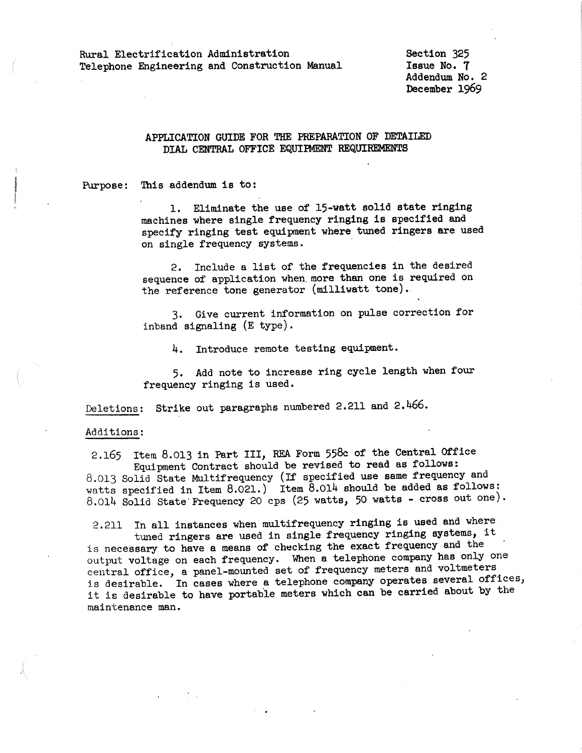Rural Electrification Administration Telephone Engineering and Construction Manual Section 325 Issue No. 7 Addendum No. 2 December 1969

## APPLICATION GUIDE FOR THE PREPARATION OF DETAILED DIAL CENTRAL OFFICE EQUIPMENT REQUIREMENTS

Purpose: This addendum is to:

1. Eliminate the use of 15-watt solid state ringing machines where single frequency ringing is specified and specify ringing test equipment where tuned ringers are used on single frequency systems.

2. Include a list of the frequencies in the desired sequence of application when. more than one is required on the reference tone generator (milliwatt tone).

3. Give current information on pulse correction for inband signaling (E type).

4. Introduce remote testing equipment.

5. Add note to increase ring cycle length when four frequency ringing is used.

Deletions: Strike out paragraphs numbered 2.211 and 2.466.

## Additions:

2.165 Item 8.013 in Part III, REA Form 558c of the Central Office Equipment Contract should be revised to read as follows: 8.013 Solid State Multifrequency (If specified use same frequency and watts specified in Item 8.021.) Item 8.014 should be added as follows: 8.014 Solid State Frequency 20 cps (25 watts, 50 watts - cross out one).

2.211 In all instances when multifrequency ringing is used and where tuned ringers are used in single frequency ringing systems, it is necessary to have a means of checking the exact frequency and the output voltage on each frequency. When a telephone company has only one central office, a panel-mounted set of frequency meters and voltmeters is desirable. In cases where a telephone company operates several offices, it is desirable to have portable meters which can be carried about by the maintenance man.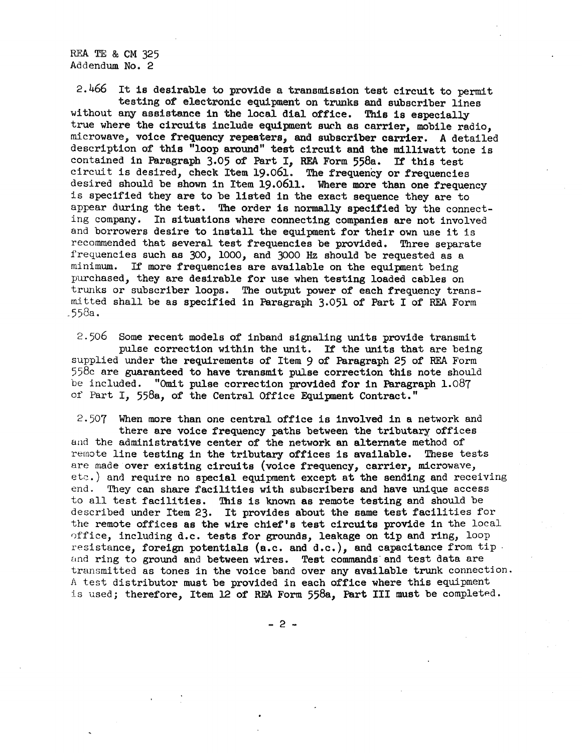REA TE & CM 325 Addendum No. 2

2.466 It is desirable to provide a transmission test circuit to permit testing of electronic equipment on trunks and subscriber lines without any assistance in the local dial office. This is especially true where the circuits include equipment such as carrier, mobile radio, microwave, voice frequency repeaters, and subscriber carrier. A detailed description of this "loop around" test circuit and the milliwatt tone is contained in Paragraph 3.05 of Part I, REA Form 558a. If this test circuit is desired, check Item 19.061. The frequency or frequencies desired should be shown in Item 19.0611. Where more than one frequency is specified they are to be listed in the exact sequence they are to appear during the test. The order is normally specified by the connecting company. In situations where connecting companies are not involved and borrowers desire to install the equipment for their own use it is recommended that several test frequencies be provided. Three separate frequencies such as 300, 1000, and 3000 Hz should be requested as a minimum. If more frequencies are available on the equipment being purchased, they are desirable for use when testing loaded cables on trunks or subscriber loops. The output power of each frequency transmitted shall be as specified in Paragraph 3.051 of Part I of REA Form  $.558a.$ 

2.506 Some recent models of inband signaling units provide transmit pulse correction within the unit. If the units that are being supplied under the requirements of Item 9 of Paragraph 25 of REA Form  $558c$  are guaranteed to have transmit pulse correction this note should be included. "Omit pulse correction provided for in Paragraph 1.087 of Part I, 558a, of the Central Office Equipment Contract."

2.507 When more than one central office is involved in a network and there are voice frequency paths between the tributary offices and the administrative center of the network an alternate method of remote line testing in the tributary offices is available. These tests are made over existing circuits (voice frequency, carrier, microwave, etc.) and require no special equipment except at the sending and receiving end. They can share facilities with subscribers and have unique access to all test facilities. This is known as remote testing and should be described under Item 23. It provides about the same test facilities for the remote offices as the wire chief's test circuits provide in the local ')ffice, including d.c. tests for grounds, leakage on tip and ring, loop resistance, foreign potentials  $(a.c.$  and  $d.c.)$ , and capacitance from tip. and ring to ground and between wires. Test commands and test data are transmitted as tones in the voice band over any available trunk connection. *<sup>A</sup>*test distributor must be provided in each office where this equipment is used; therefore, Item 12 of REA Form  $558a$ , Part III must be completed.